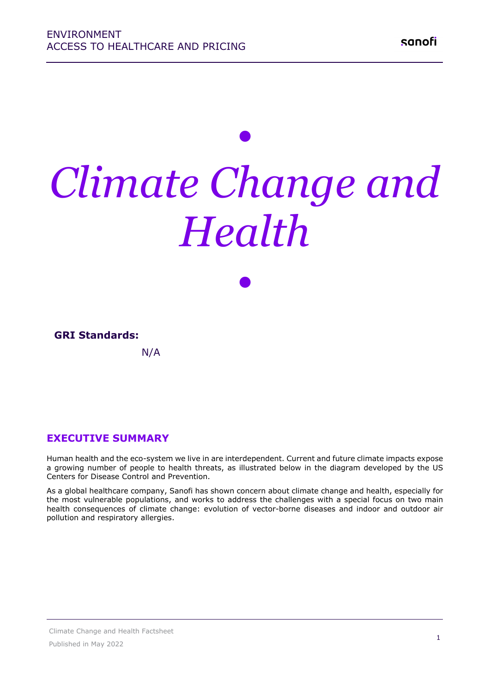# *• Climate Change and Health*

*•*

### **GRI Standards:**

N/A

#### **EXECUTIVE SUMMARY**

Human health and the eco-system we live in are interdependent. Current and future climate impacts expose a growing number of people to health threats, as illustrated below in the diagram developed by the US Centers for Disease Control and Prevention.

As a global healthcare company, Sanofi has shown concern about climate change and health, especially for the most vulnerable populations, and works to address the challenges with a special focus on two main health consequences of climate change: evolution of vector-borne diseases and indoor and outdoor air pollution and respiratory allergies.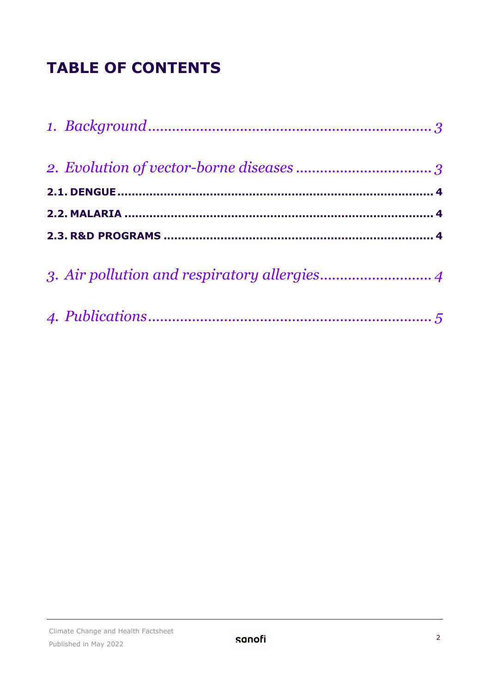## **TABLE OF CONTENTS**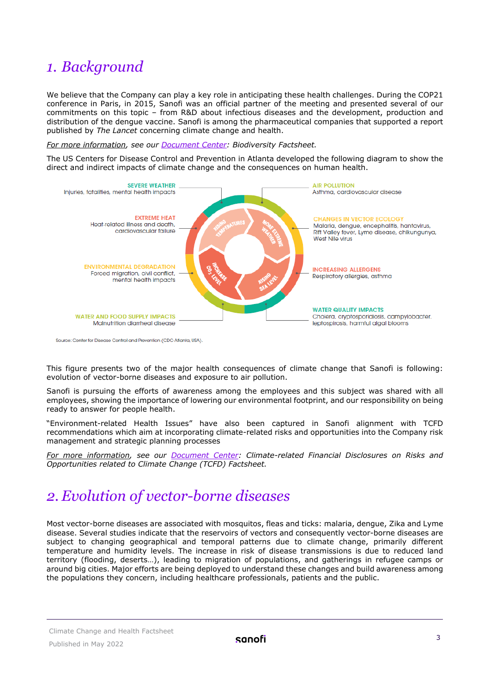## <span id="page-2-0"></span>*1. Background*

We believe that the Company can play a key role in anticipating these health challenges. During the COP21 conference in Paris, in 2015, Sanofi was an official partner of the meeting and presented several of our commitments on this topic – from R&D about infectious diseases and the development, production and distribution of the dengue vaccine. Sanofi is among the pharmaceutical companies that supported a report published by *The Lancet* concerning climate change and health.

*For more information, see our [Document](https://www.sanofi.com/-/media/Project/One-Sanofi-Web/Websites/Global/Sanofi-COM/Home/en/our-responsibility/docs/documents-center/factsheets/Biodiversity.pdf?la=en) Center: Biodiversity Factsheet.* 

The US Centers for Disease Control and Prevention in Atlanta developed the following diagram to show the direct and indirect impacts of climate change and the consequences on human health.



Source: Center for Disease Control and Prevention (CDC-Atlanta, USA).

This figure presents two of the major health consequences of climate change that Sanofi is following: evolution of vector-borne diseases and exposure to air pollution.

Sanofi is pursuing the efforts of awareness among the employees and this subject was shared with all employees, showing the importance of lowering our environmental footprint, and our responsibility on being ready to answer for people health.

"Environment-related Health Issues" have also been captured in Sanofi alignment with TCFD recommendations which aim at incorporating climate-related risks and opportunities into the Company risk management and strategic planning processes

*For more information, see our [Document Center:](https://www.sanofi.com/en/our-responsibility/documents-center/all-factsheets) Climate-related Financial Disclosures on Risks and Opportunities related to Climate Change (TCFD) Factsheet.* 

## <span id="page-2-1"></span>*2. Evolution of vector-borne diseases*

Most vector-borne diseases are associated with mosquitos, fleas and ticks: malaria, dengue, Zika and Lyme disease. Several studies indicate that the reservoirs of vectors and consequently vector-borne diseases are subject to changing geographical and temporal patterns due to climate change, primarily different temperature and humidity levels. The increase in risk of disease transmissions is due to reduced land territory (flooding, deserts…), leading to migration of populations, and gatherings in refugee camps or around big cities. Major efforts are being deployed to understand these changes and build awareness among the populations they concern, including healthcare professionals, patients and the public.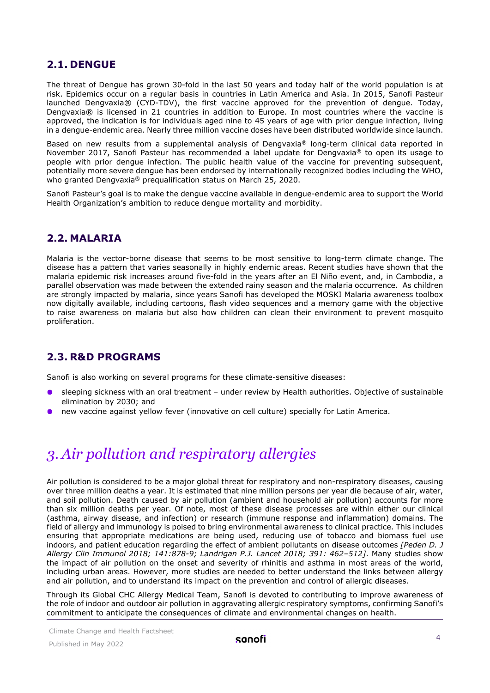#### <span id="page-3-0"></span>**2.1. DENGUE**

The threat of Dengue has grown 30-fold in the last 50 years and today half of the world population is at risk. Epidemics occur on a regular basis in countries in Latin America and Asia. In 2015, Sanofi Pasteur launched Dengvaxia® (CYD-TDV), the first vaccine approved for the prevention of dengue. Today, Dengvaxia® is licensed in 21 countries in addition to Europe. In most countries where the vaccine is approved, the indication is for individuals aged nine to 45 years of age with prior dengue infection, living in a dengue-endemic area. Nearly three million vaccine doses have been distributed worldwide since launch.

Based on new results from a supplemental analysis of Dengvaxia® long-term clinical data reported in November 2017, Sanofi Pasteur has recommended a label update for Dengyaxia<sup>®</sup> to open its usage to people with prior dengue infection. The public health value of the vaccine for preventing subsequent, potentially more severe dengue has been endorsed by internationally recognized bodies including the WHO, who granted Dengvaxia® prequalification status on March 25, 2020.

Sanofi Pasteur's goal is to make the dengue vaccine available in dengue-endemic area to support the World Health Organization's ambition to reduce dengue mortality and morbidity.

#### <span id="page-3-1"></span>**2.2. MALARIA**

Malaria is the vector-borne disease that seems to be most sensitive to long-term climate change. The disease has a pattern that varies seasonally in highly endemic areas. Recent studies have shown that the malaria epidemic risk increases around five-fold in the years after an El Niño event, and, in Cambodia, a parallel observation was made between the extended rainy season and the malaria occurrence. As children are strongly impacted by malaria, since years Sanofi has developed the MOSKI Malaria awareness toolbox now digitally available, including cartoons, flash video sequences and a memory game with the objective to raise awareness on malaria but also how children can clean their environment to prevent mosquito proliferation.

#### <span id="page-3-2"></span>**2.3. R&D PROGRAMS**

Sanofi is also working on several programs for these climate-sensitive diseases:

- sleeping sickness with an oral treatment under review by Health authorities. Objective of sustainable elimination by 2030; and
- new vaccine against yellow fever (innovative on cell culture) specially for Latin America.

## <span id="page-3-3"></span>*3. Air pollution and respiratory allergies*

Air pollution is considered to be a major global threat for respiratory and non-respiratory diseases, causing over three million deaths a year. It is estimated that nine million persons per year die because of air, water, and soil pollution. Death caused by air pollution (ambient and household air pollution) accounts for more than six million deaths per year. Of note, most of these disease processes are within either our clinical (asthma, airway disease, and infection) or research (immune response and inflammation) domains. The field of allergy and immunology is poised to bring environmental awareness to clinical practice. This includes ensuring that appropriate medications are being used, reducing use of tobacco and biomass fuel use indoors, and patient education regarding the effect of ambient pollutants on disease outcomes *[Peden D. J Allergy Clin Immunol 2018; 141:878-9; Landrigan P.J. Lancet 2018; 391: 462–512]*. Many studies show the impact of air pollution on the onset and severity of rhinitis and asthma in most areas of the world, including urban areas. However, more studies are needed to better understand the links between allergy and air pollution, and to understand its impact on the prevention and control of allergic diseases.

Through its Global CHC Allergy Medical Team, Sanofi is devoted to contributing to improve awareness of the role of indoor and outdoor air pollution in aggravating allergic respiratory symptoms, confirming Sanofi's commitment to anticipate the consequences of climate and environmental changes on health.